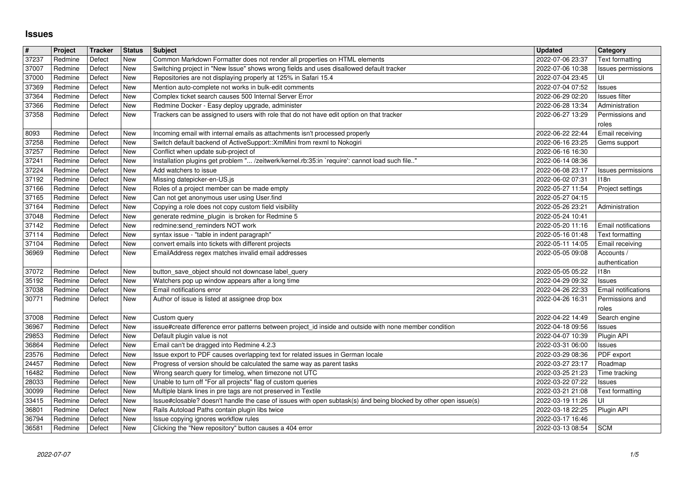## **Issues**

| $\pmb{\#}$<br>37237 | Project            | Tracker<br>Defect | <b>Status</b><br>New | Subject                                                                                                                                                                          | <b>Updated</b><br>2022-07-06 23:37   | Category                                     |
|---------------------|--------------------|-------------------|----------------------|----------------------------------------------------------------------------------------------------------------------------------------------------------------------------------|--------------------------------------|----------------------------------------------|
| 37007               | Redmine<br>Redmine | Defect            | New                  | Common Markdown Formatter does not render all properties on HTML elements<br>Switching project in "New Issue" shows wrong fields and uses disallowed default tracker             | 2022-07-06 10:38                     | Text formatting<br><b>Issues permissions</b> |
| 37000<br>37369      | Redmine<br>Redmine | Defect<br>Defect  | New<br>New           | Repositories are not displaying properly at 125% in Safari 15.4<br>Mention auto-complete not works in bulk-edit comments                                                         | 2022-07-04 23:45<br>2022-07-04 07:52 | UI<br>Issues                                 |
| 37364               | Redmine            | Defect            | New                  | Complex ticket search causes 500 Internal Server Error                                                                                                                           | 2022-06-29 02:20                     | Issues filter                                |
| 37366<br>37358      | Redmine<br>Redmine | Defect<br>Defect  | New<br>New           | Redmine Docker - Easy deploy upgrade, administer<br>Trackers can be assigned to users with role that do not have edit option on that tracker                                     | 2022-06-28 13:34<br>2022-06-27 13:29 | Administration<br>Permissions and            |
|                     |                    |                   |                      |                                                                                                                                                                                  |                                      | roles                                        |
| 8093<br>37258       | Redmine<br>Redmine | Defect<br>Defect  | New<br>New           | Incoming email with internal emails as attachments isn't processed properly<br>Switch default backend of ActiveSupport:: XmlMini from rexml to Nokogiri                          | 2022-06-22 22:44<br>2022-06-16 23:25 | Email receiving<br>Gems support              |
| 37257               | Redmine            | Defect            | New                  | Conflict when update sub-project of                                                                                                                                              | 2022-06-16 16:30                     |                                              |
| 37241<br>37224      | Redmine<br>Redmine | Defect<br>Defect  | New<br>New           | Installation plugins get problem " /zeitwerk/kernel.rb:35:in `require': cannot load such file"<br>Add watchers to issue                                                          | 2022-06-14 08:36<br>2022-06-08 23:17 | Issues permissions                           |
| 37192               | Redmine            | Defect            | New                  | Missing datepicker-en-US.js                                                                                                                                                      | 2022-06-02 07:31                     | 118n                                         |
| 37166<br>37165      | Redmine<br>Redmine | Defect<br>Defect  | New<br>New           | Roles of a project member can be made empty<br>Can not get anonymous user using User.find                                                                                        | 2022-05-27 11:54<br>2022-05-27 04:15 | Project settings                             |
| 37164               | Redmine<br>Redmine | Defect<br>Defect  | New<br>New           | Copying a role does not copy custom field visibility                                                                                                                             | 2022-05-26 23:21                     | Administration                               |
| 37048<br>37142      | Redmine            | Defect            | New                  | generate redmine_plugin is broken for Redmine 5<br>redmine:send_reminders NOT work                                                                                               | 2022-05-24 10:41<br>2022-05-20 11:16 | Email notifications                          |
| 37114<br>37104      | Redmine<br>Redmine | Defect<br>Defect  | New<br>New           | syntax issue - "table in indent paragraph"<br>convert emails into tickets with different projects                                                                                | 2022-05-16 01:48<br>2022-05-11 14:05 | Text formatting<br>Email receiving           |
| 36969               | Redmine            | Defect            | New                  | EmailAddress regex matches invalid email addresses                                                                                                                               | 2022-05-05 09:08                     | Accounts /                                   |
| 37072               | Redmine            | Defect            | New                  | button_save_object should not downcase label_query                                                                                                                               | 2022-05-05 05:22                     | authentication<br>118n                       |
| 35192               | Redmine            | Defect            | New                  | Watchers pop up window appears after a long time                                                                                                                                 | 2022-04-29 09:32                     | Issues                                       |
| 37038<br>30771      | Redmine<br>Redmine | Defect<br>Defect  | New<br>New           | Email notifications error<br>Author of issue is listed at assignee drop box                                                                                                      | 2022-04-26 22:33<br>2022-04-26 16:31 | Email notifications<br>Permissions and       |
|                     |                    |                   |                      |                                                                                                                                                                                  |                                      | roles                                        |
| 37008<br>36967      | Redmine<br>Redmine | Defect<br>Defect  | New<br>New           | Custom query<br>issue#create difference error patterns between project_id inside and outside with none member condition                                                          | 2022-04-22 14:49<br>2022-04-18 09:56 | Search engine<br>Issues                      |
| 29853<br>36864      | Redmine<br>Redmine | Defect<br>Defect  | New<br>New           | Default plugin value is not<br>Email can't be dragged into Redmine 4.2.3                                                                                                         | 2022-04-07 10:39<br>2022-03-31 06:00 | Plugin API<br>Issues                         |
| 23576               | Redmine            | Defect            | New                  | Issue export to PDF causes overlapping text for related issues in German locale                                                                                                  | 2022-03-29 08:36                     | PDF export                                   |
| 24457<br>16482      | Redmine<br>Redmine | Defect<br>Defect  | New<br>New           | Progress of version should be calculated the same way as parent tasks<br>Wrong search query for timelog, when timezone not UTC                                                   | 2022-03-27 23:17<br>2022-03-25 21:23 | Roadmap<br>Time tracking                     |
| 28033               | Redmine            | Defect            | New                  | Unable to turn off "For all projects" flag of custom queries                                                                                                                     | 2022-03-22 07:22                     | Issues                                       |
| 30099<br>33415      | Redmine<br>Redmine | Defect<br>Defect  | New<br>New           | Multiple blank lines in pre tags are not preserved in Textile<br>Issue#closable? doesn't handle the case of issues with open subtask(s) and being blocked by other open issue(s) | 2022-03-21 21:08<br>2022-03-19 11:26 | Text formatting<br>UI                        |
| 36801               | Redmine            | Defect            | New                  | Rails Autoload Paths contain plugin libs twice                                                                                                                                   | 2022-03-18 22:25                     | Plugin API                                   |
| 36794<br>36581      | Redmine<br>Redmine | Defect<br>Defect  | New<br>New           | Issue copying ignores workflow rules<br>Clicking the "New repository" button causes a 404 error                                                                                  | 2022-03-17 16:46<br>2022-03-13 08:54 | <b>SCM</b>                                   |
|                     |                    |                   |                      |                                                                                                                                                                                  |                                      |                                              |
|                     |                    |                   |                      |                                                                                                                                                                                  |                                      |                                              |
|                     |                    |                   |                      |                                                                                                                                                                                  |                                      |                                              |
|                     |                    |                   |                      |                                                                                                                                                                                  |                                      |                                              |
|                     |                    |                   |                      |                                                                                                                                                                                  |                                      |                                              |
|                     |                    |                   |                      |                                                                                                                                                                                  |                                      |                                              |
|                     |                    |                   |                      |                                                                                                                                                                                  |                                      |                                              |
|                     |                    |                   |                      |                                                                                                                                                                                  |                                      |                                              |
|                     |                    |                   |                      |                                                                                                                                                                                  |                                      |                                              |
|                     |                    |                   |                      |                                                                                                                                                                                  |                                      |                                              |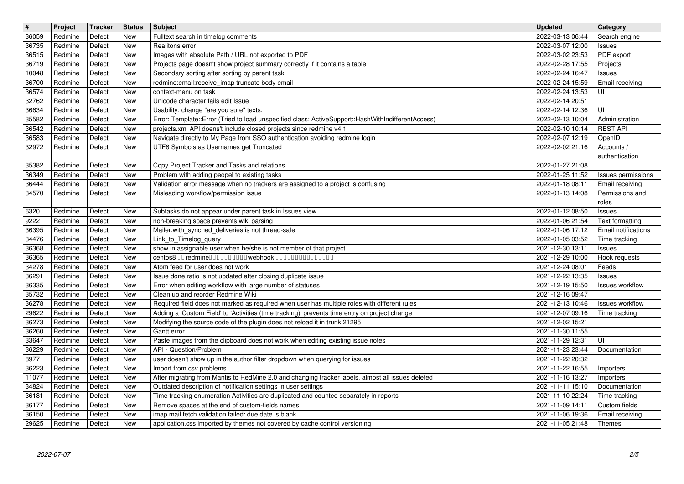| $\overline{\mathbf{H}}$ | Project            | Tracker          | <b>Status</b> | <b>Subject</b>                                                                                                                                                      | <b>Updated</b>                                       | Category                                    |
|-------------------------|--------------------|------------------|---------------|---------------------------------------------------------------------------------------------------------------------------------------------------------------------|------------------------------------------------------|---------------------------------------------|
| 36059                   | Redmine            | Defect           | New<br>New    | Fulltext search in timelog comments<br>Realitons error                                                                                                              | 2022-03-13 06:44                                     | Search engine                               |
| 36735<br>36515          | Redmine<br>Redmine | Defect<br>Defect | New           | Images with absolute Path / URL not exported to PDF                                                                                                                 | 2022-03-07 12:00<br>2022-03-02 23:53                 | Issues<br>PDF export                        |
| 36719                   | Redmine            | Defect           | New           | Projects page doesn't show project summary correctly if it contains a table                                                                                         | 2022-02-28 17:55                                     | Projects                                    |
| 10048                   | Redmine            | Defect           | New           | Secondary sorting after sorting by parent task                                                                                                                      | 2022-02-24 16:47                                     | Issues                                      |
| 36700                   | Redmine            | Defect           | New           | redmine:email:receive imap truncate body email                                                                                                                      | 2022-02-24 15:59                                     | Email receiving                             |
| 36574<br>32762          | Redmine<br>Redmine | Defect<br>Defect | New<br>New    | context-menu on task<br>Unicode character fails edit Issue                                                                                                          | 2022-02-24 13:53<br>2022-02-14 20:51                 | UI                                          |
| 36634                   | Redmine            | Defect           | New           | Usability: change "are you sure" texts.                                                                                                                             | 2022-02-14 12:36                                     | UI                                          |
| 35582                   | Redmine            | Defect           | New           | Error: Template::Error (Tried to load unspecified class: ActiveSupport::HashWithIndifferentAccess)                                                                  | 2022-02-13 10:04                                     | Administration                              |
| 36542                   | Redmine            | Defect           | New           | projects.xml API doens't include closed projects since redmine v4.1                                                                                                 | 2022-02-10 10:14                                     | <b>REST API</b>                             |
| 36583<br>32972          | Redmine<br>Redmine | Defect<br>Defect | New<br>New    | Navigate directly to My Page from SSO authentication avoiding redmine login<br>UTF8 Symbols as Usernames get Truncated                                              | 2022-02-07 12:19<br>2022-02-02 21:16                 | OpenID<br>Accounts /                        |
|                         |                    |                  |               |                                                                                                                                                                     |                                                      | authentication                              |
| 35382                   | Redmine            | Defect           | New           | Copy Project Tracker and Tasks and relations                                                                                                                        | 2022-01-27 21:08                                     |                                             |
| 36349                   | Redmine            | Defect           | New           | Problem with adding peopel to existing tasks                                                                                                                        | 2022-01-25 11:52                                     | Issues permissions                          |
| 36444<br>34570          | Redmine<br>Redmine | Defect<br>Defect | New<br>New    | Validation error message when no trackers are assigned to a project is confusing<br>Misleading workflow/permission issue                                            | 2022-01-18 08:11<br>2022-01-13 14:08                 | Email receiving<br>Permissions and          |
|                         |                    |                  |               |                                                                                                                                                                     |                                                      | roles                                       |
| 6320                    | Redmine            | Defect           | New           | Subtasks do not appear under parent task in Issues view                                                                                                             | 2022-01-12 08:50                                     | <b>Issues</b>                               |
| 9222                    | Redmine            | Defect           | New           | non-breaking space prevents wiki parsing                                                                                                                            | 2022-01-06 21:54                                     | Text formatting                             |
| 36395<br>34476          | Redmine<br>Redmine | Defect<br>Defect | New<br>New    | Mailer.with_synched_deliveries is not thread-safe<br>Link_to_Timelog_query                                                                                          | 2022-01-06 17:12<br>2022-01-05 03:52                 | <b>Email notifications</b><br>Time tracking |
| 36368                   | Redmine            | Defect           | New           | show in assignable user when he/she is not member of that project                                                                                                   | 2021-12-30 13:11                                     | <b>Issues</b>                               |
| 36365                   | Redmine            | Defect           | New           | centos8 00 redmine0000000000 webhook,000000000000000                                                                                                                | 2021-12-29 10:00                                     | Hook requests                               |
| 34278                   | Redmine            | Defect           | New           | Atom feed for user does not work                                                                                                                                    | 2021-12-24 08:01                                     | Feeds                                       |
| 36291<br>36335          | Redmine<br>Redmine | Defect<br>Defect | New<br>New    | Issue done ratio is not updated after closing duplicate issue<br>Error when editing workflow with large number of statuses                                          | 2021-12-22 13:35<br>2021-12-19 15:50                 | <b>Issues</b><br><b>Issues workflow</b>     |
| 35732                   | Redmine            | Defect           | New           | Clean up and reorder Redmine Wiki                                                                                                                                   | 2021-12-16 09:47                                     |                                             |
| 36278                   | Redmine            | Defect           | New           | Required field does not marked as required when user has multiple roles with different rules                                                                        | 2021-12-13 10:46                                     | <b>Issues workflow</b>                      |
| 29622                   | Redmine            | Defect           | New           | Adding a 'Custom Field' to 'Activities (time tracking)' prevents time entry on project change                                                                       | 2021-12-07 09:16                                     | Time tracking                               |
| 36273<br>36260          | Redmine<br>Redmine | Defect<br>Defect | New<br>New    | Modifying the source code of the plugin does not reload it in trunk 21295<br>Gantt error                                                                            | 2021-12-02 15:21<br>2021-11-30 11:55                 |                                             |
| 33647                   | Redmine            | Defect           | New           | Paste images from the clipboard does not work when editing existing issue notes                                                                                     | 2021-11-29 12:31                                     | UI                                          |
| 36229                   | Redmine            | Defect           | New           | API - Question/Problem                                                                                                                                              | 2021-11-23 23:44                                     | Documentation                               |
| 8977                    | Redmine            | Defect           | New           | user doesn't show up in the author filter dropdown when querying for issues                                                                                         | 2021-11-22 20:32                                     |                                             |
| 36223                   | Redmine            | Defect           | New           | Import from csv problems                                                                                                                                            | 2021-11-22 16:55                                     | Importers                                   |
| 11077<br>34824          | Redmine<br>Redmine | Defect<br>Defect | New<br>New    | After migrating from Mantis to RedMine 2.0 and changing tracker labels, almost all issues deleted<br>Outdated description of notification settings in user settings | 2021-11-16 13:27<br>2021-11-11 15:10   Documentation | Importers                                   |
| 36181                   | Redmine            | Defect           | New           | Time tracking enumeration Activities are duplicated and counted separately in reports                                                                               | 2021-11-10 22:24                                     | Time tracking                               |
| 36177                   | Redmine            | Defect           | New           | Remove spaces at the end of custom-fields names                                                                                                                     | 2021-11-09 14:11                                     | Custom fields                               |
| 36150<br>29625          | Redmine<br>Redmine | Defect<br>Defect | New<br>New    | imap mail fetch validation failed: due date is blank<br>application.css imported by themes not covered by cache control versioning                                  | 2021-11-06 19:36<br>2021-11-05 21:48                 | Email receiving<br>Themes                   |
|                         |                    |                  |               |                                                                                                                                                                     |                                                      |                                             |
|                         |                    |                  |               |                                                                                                                                                                     |                                                      |                                             |
|                         |                    |                  |               |                                                                                                                                                                     |                                                      |                                             |
|                         |                    |                  |               |                                                                                                                                                                     |                                                      |                                             |
|                         |                    |                  |               |                                                                                                                                                                     |                                                      |                                             |
|                         |                    |                  |               |                                                                                                                                                                     |                                                      |                                             |
|                         |                    |                  |               |                                                                                                                                                                     |                                                      |                                             |
|                         |                    |                  |               |                                                                                                                                                                     |                                                      |                                             |
|                         |                    |                  |               |                                                                                                                                                                     |                                                      |                                             |
|                         |                    |                  |               |                                                                                                                                                                     |                                                      |                                             |
|                         |                    |                  |               |                                                                                                                                                                     |                                                      |                                             |
|                         |                    |                  |               |                                                                                                                                                                     |                                                      |                                             |
|                         |                    |                  |               |                                                                                                                                                                     |                                                      |                                             |
|                         |                    |                  |               |                                                                                                                                                                     |                                                      |                                             |
|                         |                    |                  |               |                                                                                                                                                                     |                                                      |                                             |
|                         |                    |                  |               |                                                                                                                                                                     |                                                      |                                             |
|                         |                    |                  |               |                                                                                                                                                                     |                                                      |                                             |
|                         |                    |                  |               |                                                                                                                                                                     |                                                      |                                             |
|                         |                    |                  |               |                                                                                                                                                                     |                                                      |                                             |
|                         |                    |                  |               |                                                                                                                                                                     |                                                      |                                             |
|                         |                    |                  |               |                                                                                                                                                                     |                                                      |                                             |
|                         |                    |                  |               |                                                                                                                                                                     |                                                      |                                             |
|                         |                    |                  |               |                                                                                                                                                                     |                                                      |                                             |
|                         |                    |                  |               |                                                                                                                                                                     |                                                      |                                             |
|                         |                    |                  |               |                                                                                                                                                                     |                                                      |                                             |
|                         |                    |                  |               |                                                                                                                                                                     |                                                      |                                             |
|                         |                    |                  |               |                                                                                                                                                                     |                                                      |                                             |
|                         |                    |                  |               |                                                                                                                                                                     |                                                      |                                             |
|                         |                    |                  |               |                                                                                                                                                                     |                                                      |                                             |
|                         |                    |                  |               |                                                                                                                                                                     |                                                      |                                             |
|                         |                    |                  |               |                                                                                                                                                                     |                                                      |                                             |
|                         |                    |                  |               |                                                                                                                                                                     |                                                      |                                             |
|                         |                    |                  |               |                                                                                                                                                                     |                                                      |                                             |
|                         |                    |                  |               |                                                                                                                                                                     |                                                      |                                             |
|                         |                    |                  |               |                                                                                                                                                                     |                                                      |                                             |
|                         |                    |                  |               |                                                                                                                                                                     |                                                      |                                             |
|                         |                    |                  |               |                                                                                                                                                                     |                                                      |                                             |
|                         |                    |                  |               |                                                                                                                                                                     |                                                      |                                             |
|                         |                    |                  |               |                                                                                                                                                                     |                                                      |                                             |
|                         |                    |                  |               |                                                                                                                                                                     |                                                      |                                             |
|                         |                    |                  |               |                                                                                                                                                                     |                                                      |                                             |
|                         |                    |                  |               |                                                                                                                                                                     |                                                      |                                             |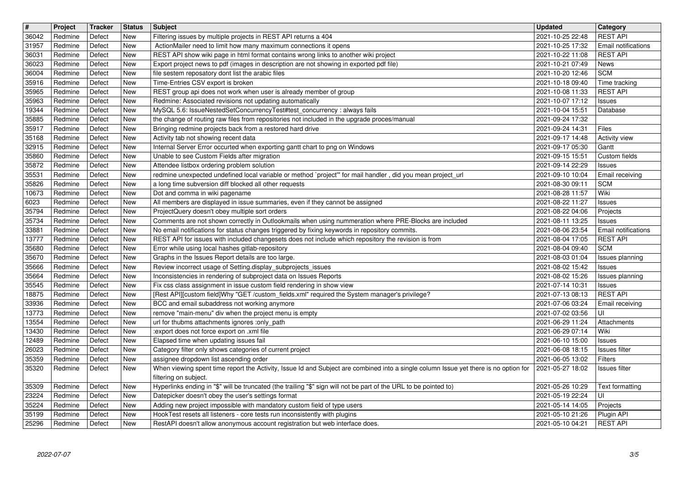| $\boxed{\texttt{#}}$ | Project                         | Tracker          | <b>Status</b> | Subject                                                                                                                                                                                              | <b>Updated</b>                                         | <b>Category</b>                        |
|----------------------|---------------------------------|------------------|---------------|------------------------------------------------------------------------------------------------------------------------------------------------------------------------------------------------------|--------------------------------------------------------|----------------------------------------|
| 36042<br>31957       | Redmine<br>Redmine              | Defect<br>Defect | New<br>New    | Filtering issues by multiple projects in REST API returns a 404<br>ActionMailer need to limit how many maximum connections it opens                                                                  | 2021-10-25 22:48<br>2021-10-25 17:32                   | <b>REST API</b><br>Email notifications |
| 36031                | Redmine                         | Defect           | New           | REST API show wiki page in html format contains wrong links to another wiki project                                                                                                                  | 2021-10-22 11:08                                       | <b>REST API</b>                        |
| 36023                | Redmine<br>Redmine              | Defect<br>Defect | New<br>New    | Export project news to pdf (images in description are not showing in exported pdf file)<br>file sestem reposatory dont list the arabic files                                                         | 2021-10-21 07:49<br>2021-10-20 12:46                   | News<br><b>SCM</b>                     |
| 36004<br>35916       | Redmine                         | Defect           | New           | Time-Entries CSV export is broken                                                                                                                                                                    | 2021-10-18 09:40                                       | Time tracking                          |
| 35965                | Redmine                         | Defect           | New           | REST group api does not work when user is already member of group                                                                                                                                    | 2021-10-08 11:33                                       | <b>REST API</b>                        |
| 35963<br>19344       | Redmine<br>Redmine              | Defect<br>Defect | New<br>New    | Redmine: Associated revisions not updating automatically<br>MySQL 5.6: IssueNestedSetConcurrencyTest#test_concurrency : always fails                                                                 | 2021-10-07 17:12<br>2021-10-04 15:51                   | Issues<br>Database                     |
| 35885                | Redmine                         | Defect           | New           | the change of routing raw files from repositories not included in the upgrade proces/manual                                                                                                          | 2021-09-24 17:32                                       |                                        |
| 35917                | Redmine                         | Defect           | New           | Bringing redmine projects back from a restored hard drive                                                                                                                                            | 2021-09-24 14:31                                       | <b>Files</b>                           |
| 35168<br>32915       | Redmine<br>Redmine              | Defect<br>Defect | New<br>New    | Activity tab not showing recent data<br>Internal Server Error occurted when exporting gantt chart to png on Windows                                                                                  | 2021-09-17 14:48<br>2021-09-17 05:30                   | <b>Activity view</b><br>Gantt          |
| 35860                | Redmine                         | Defect           | New           | Unable to see Custom Fields after migration                                                                                                                                                          | 2021-09-15 15:51                                       | Custom fields                          |
| 35872<br>35531       | Redmine<br>Redmine              | Defect<br>Defect | New<br>New    | Attendee listbox ordering problem solution<br>redmine unexpected undefined local variable or method `project'" for mail handler, did you mean project_url                                            | 2021-09-14 22:29<br>2021-09-10 10:04                   | Issues<br>Email receiving              |
| 35826                | Redmine                         | Defect           | New           | a long time subversion diff blocked all other requests                                                                                                                                               | 2021-08-30 09:11                                       | <b>SCM</b>                             |
| 10673<br>6023        | Redmine<br>Redmine              | Defect<br>Defect | New<br>New    | Dot and comma in wiki pagename<br>All members are displayed in issue summaries, even if they cannot be assigned                                                                                      | 2021-08-28 11:57<br>2021-08-22 11:27                   | Wiki                                   |
| 35794                | Redmine                         | Defect           | New           | ProjectQuery doesn't obey multiple sort orders                                                                                                                                                       | 2021-08-22 04:06                                       | Issues<br>Projects                     |
| 35734                | Redmine                         | Defect           | New           | Comments are not shown correctly in Outlookmails when using nummeration where PRE-Blocks are included                                                                                                | 2021-08-11 13:25                                       | Issues                                 |
| 33881<br>13777       | Redmine<br>Redmine              | Defect<br>Defect | New<br>New    | No email notifications for status changes triggered by fixing keywords in repository commits.<br>REST API for issues with included changesets does not include which repository the revision is from | 2021-08-06 23:54<br>2021-08-04 17:05                   | Email notifications<br><b>REST API</b> |
| 35680                | Redmine                         | Defect           | New           | Error while using local hashes gitlab-repository                                                                                                                                                     | 2021-08-04 09:40                                       | <b>SCM</b>                             |
| 35670<br>35666       | Redmine<br>Redmine              | Defect<br>Defect | New<br>New    | Graphs in the Issues Report details are too large.<br>Review incorrect usage of Setting.display_subprojects_issues                                                                                   | 2021-08-03 01:04<br>2021-08-02 15:42                   | Issues planning<br>Issues              |
| 35664                | Redmine                         | Defect           | New           | Inconsistencies in rendering of subproject data on Issues Reports                                                                                                                                    | 2021-08-02 15:26                                       | Issues planning                        |
| 35545                | Redmine                         | Defect           | New           | Fix css class assignment in issue custom field rendering in show view                                                                                                                                | 2021-07-14 10:31                                       | Issues                                 |
| 18875<br>33936       | Redmine<br>Redmine              | Defect<br>Defect | New<br>New    | [Rest API][custom field]Why "GET /custom_fields.xml" required the System manager's privilege?<br>BCC and email subaddress not working anymore                                                        | 2021-07-13 08:13<br>2021-07-06 03:24                   | <b>REST API</b><br>Email receiving     |
| 13773                | Redmine                         | Defect           | New           | remove "main-menu" div when the project menu is empty                                                                                                                                                | 2021-07-02 03:56                                       | UI                                     |
| 13554<br>13430       | Redmine<br>Redmine              | Defect<br>Defect | New<br>New    | url for thubms attachments ignores :only_path<br>:export does not force export on .xml file                                                                                                          | 2021-06-29 11:24<br>2021-06-29 07:14                   | Attachments<br>Wiki                    |
| 12489                | Redmine                         | Defect           | New           | Elapsed time when updating issues fail                                                                                                                                                               | 2021-06-10 15:00                                       | Issues                                 |
| 26023                | Redmine                         | Defect           | New           | Category filter only shows categories of current project                                                                                                                                             | 2021-06-08 18:15                                       | <b>Issues filter</b>                   |
| 35359<br>35320       | Redmine<br>Redmine              | Defect<br>Defect | New<br>New    | assignee dropdown list ascending order<br>When viewing spent time report the Activity, Issue Id and Subject are combined into a single column Issue yet there is no option for                       | 2021-06-05 13:02<br>2021-05-27 18:02                   | Filters<br><b>Issues filter</b>        |
|                      |                                 |                  |               | filtering on subject.                                                                                                                                                                                |                                                        |                                        |
| 23224                | 35309 Redmine Defect<br>Redmine | Defect           | New<br>New    | Hyperlinks ending in "\$" will be truncated (the trailing "\$" sign will not be part of the URL to be pointed to)<br>Datepicker doesn't obey the user's settings format                              | 2021-05-26 10:29   Text formatting<br>2021-05-19 22:24 | ΙUΙ                                    |
| 35224                | Redmine                         | Defect           | New           | Adding new project impossible with mandatory custom field of type users                                                                                                                              | 2021-05-14 14:05                                       | Projects                               |
| 35199<br>25296       | Redmine<br>Redmine              | Defect<br>Defect | New<br>New    | HookTest resets all listeners - core tests run inconsistently with plugins<br>RestAPI doesn't allow anonymous account registration but web interface does.                                           | 2021-05-10 21:26<br>2021-05-10 04:21                   | Plugin API<br><b>REST API</b>          |
|                      |                                 |                  |               |                                                                                                                                                                                                      |                                                        |                                        |
|                      |                                 |                  |               |                                                                                                                                                                                                      |                                                        |                                        |
|                      |                                 |                  |               |                                                                                                                                                                                                      |                                                        |                                        |
|                      |                                 |                  |               |                                                                                                                                                                                                      |                                                        |                                        |
|                      |                                 |                  |               |                                                                                                                                                                                                      |                                                        |                                        |
|                      |                                 |                  |               |                                                                                                                                                                                                      |                                                        |                                        |
|                      |                                 |                  |               |                                                                                                                                                                                                      |                                                        |                                        |
|                      |                                 |                  |               |                                                                                                                                                                                                      |                                                        |                                        |
|                      |                                 |                  |               |                                                                                                                                                                                                      |                                                        |                                        |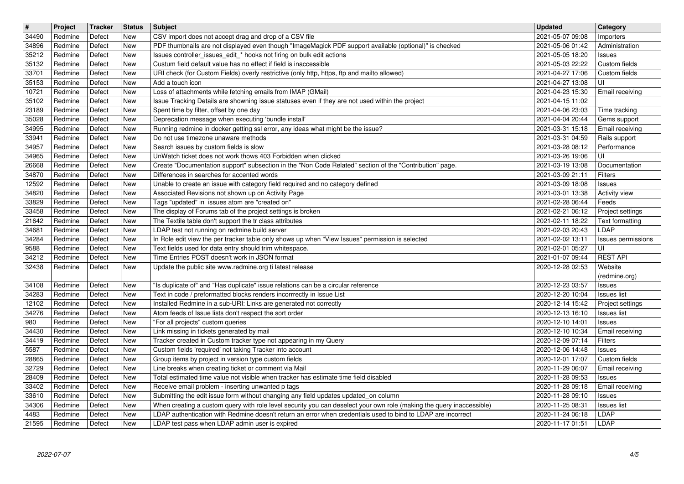| $\overline{\mathbf{H}}$ | Project            | Tracker          | <b>Status</b> | <b>Subject</b>                                                                                                                                                                                              | <b>Updated</b>                       | <b>Category</b>                     |
|-------------------------|--------------------|------------------|---------------|-------------------------------------------------------------------------------------------------------------------------------------------------------------------------------------------------------------|--------------------------------------|-------------------------------------|
| 34490<br>34896          | Redmine<br>Redmine | Defect<br>Defect | New<br>New    | CSV import does not accept drag and drop of a CSV file<br>PDF thumbnails are not displayed even though "ImageMagick PDF support available (optional)" is checked                                            | 2021-05-07 09:08<br>2021-05-06 01:42 | Importers<br>Administration         |
| 35212                   | Redmine            | Defect           | New           | Issues controller_issues_edit_* hooks not firing on bulk edit actions                                                                                                                                       | 2021-05-05 18:20                     | Issues                              |
| 35132<br>33701          | Redmine<br>Redmine | Defect<br>Defect | New<br>New    | Custum field default value has no effect if field is inaccessible<br>URI check (for Custom Fields) overly restrictive (only http, https, ftp and mailto allowed)                                            | 2021-05-03 22:22<br>2021-04-27 17:06 | Custom fields<br>Custom fields      |
| 35153                   | Redmine            | Defect           | New           | Add a touch icon                                                                                                                                                                                            | 2021-04-27 13:08                     | UI                                  |
| 10721<br>35102          | Redmine<br>Redmine | Defect<br>Defect | New<br>New    | Loss of attachments while fetching emails from IMAP (GMail)<br>Issue Tracking Details are showning issue statuses even if they are not used within the project                                              | 2021-04-23 15:30<br>2021-04-15 11:02 | Email receiving                     |
| 23189                   | Redmine            | Defect           | New           | Spent time by filter, offset by one day                                                                                                                                                                     | 2021-04-06 23:03                     | Time tracking                       |
| 35028<br>34995          | Redmine<br>Redmine | Defect<br>Defect | New<br>New    | Deprecation message when executing 'bundle install'<br>Running redmine in docker getting ssl error, any ideas what might be the issue?                                                                      | 2021-04-04 20:44<br>2021-03-31 15:18 | Gems support<br>Email receiving     |
| 33941                   | Redmine            | Defect           | New           | Do not use timezone unaware methods                                                                                                                                                                         | 2021-03-31 04:59                     | Rails support                       |
| 34957<br>34965          | Redmine<br>Redmine | Defect<br>Defect | New<br>New    | Search issues by custom fields is slow<br>UnWatch ticket does not work thows 403 Forbidden when clicked                                                                                                     | 2021-03-28 08:12<br>2021-03-26 19:06 | Performance<br>UI                   |
| 26668                   | Redmine            | Defect           | New           | Create "Documentation support" subsection in the "Non Code Related" section of the "Contribution" page.                                                                                                     | 2021-03-19 13:08                     | Documentation                       |
| 34870<br>12592          | Redmine<br>Redmine | Defect<br>Defect | New<br>New    | Differences in searches for accented words<br>Unable to create an issue with category field required and no category defined                                                                                | 2021-03-09 21:11<br>2021-03-09 18:08 | <b>Filters</b><br>Issues            |
| 34820                   | Redmine            | Defect           | New           | Associated Revisions not shown up on Activity Page                                                                                                                                                          | 2021-03-01 13:38                     | Activity view                       |
| 33829<br>33458          | Redmine<br>Redmine | Defect<br>Defect | New<br>New    | Tags "updated" in issues atom are "created on"<br>The display of Forums tab of the project settings is broken                                                                                               | 2021-02-28 06:44<br>2021-02-21 06:12 | Feeds<br>Project settings           |
| 21642                   | Redmine            | Defect           | New           | The Textile table don't support the tr class attributes                                                                                                                                                     | 2021-02-11 18:22                     | <b>Text formatting</b>              |
| 34681<br>34284          | Redmine<br>Redmine | Defect<br>Defect | New<br>New    | LDAP test not running on redmine build server<br>In Role edit view the per tracker table only shows up when "View Issues" permission is selected                                                            | 2021-02-03 20:43<br>2021-02-02 13:11 | LDAP<br>Issues permissions          |
| 9588                    | Redmine            | Defect           | New           | Text fields used for data entry should trim whitespace.                                                                                                                                                     | 2021-02-01 05:27                     | UI                                  |
| 34212<br>32438          | Redmine<br>Redmine | Defect<br>Defect | New<br>New    | Time Entries POST doesn't work in JSON format<br>Update the public site www.redmine.org ti latest release                                                                                                   | 2021-01-07 09:44<br>2020-12-28 02:53 | <b>REST API</b><br>Website          |
|                         |                    |                  |               |                                                                                                                                                                                                             |                                      | (redmine.org)                       |
| 34108<br>34283          | Redmine<br>Redmine | Defect<br>Defect | New<br>New    | "Is duplicate of" and "Has duplicate" issue relations can be a circular reference<br>Text in code / preformatted blocks renders incorrrectly in Issue List                                                  | 2020-12-23 03:57<br>2020-12-20 10:04 | Issues<br>Issues list               |
| 12102                   | Redmine            | Defect           | New           | Installed Redmine in a sub-URI: Links are generated not correctly                                                                                                                                           | 2020-12-14 15:42                     | Project settings                    |
| 34276<br>980            | Redmine<br>Redmine | Defect<br>Defect | New<br>New    | Atom feeds of Issue lists don't respect the sort order<br>"For all projects" custom queries                                                                                                                 | 2020-12-13 16:10<br>2020-12-10 14:01 | Issues list<br><b>Issues</b>        |
| 34430                   | Redmine            | Defect           | New           | Link missing in tickets generated by mail                                                                                                                                                                   | 2020-12-10 10:34                     | Email receiving                     |
| 34419<br>5587           | Redmine<br>Redmine | Defect<br>Defect | New<br>New    | Tracker created in Custom tracker type not appearing in my Query<br>Custom fields 'required' not taking Tracker into account                                                                                | 2020-12-09 07:14<br>2020-12-06 14:48 | Filters<br>Issues                   |
| 28865                   | Redmine            | Defect           | New           | Group items by project in version type custom fields                                                                                                                                                        | 2020-12-01 17:07                     | Custom fields                       |
| 32729<br>28409          | Redmine<br>Redmine | Defect<br>Defect | New<br>New    | Line breaks when creating ticket or comment via Mail<br>Total estimated time value not visible when tracker has estimate time field disabled                                                                | 2020-11-29 06:07<br>2020-11-28 09:53 | Email receiving<br>Issues           |
| 33402                   | Redmine            | Defect           | New           | Receive email problem - inserting unwanted p tags                                                                                                                                                           | 2020-11-28 09:18                     | <b>Email receiving</b>              |
| 33610<br>34306          | Redmine<br>Redmine | Defect<br>Defect | New<br>New    | Submitting the edit issue form without changing any field updates updated_on column<br>When creating a custom query with role level security you can deselect your own role (making the query inaccessible) | 2020-11-28 09:10<br>2020-11-25 08:31 | <b>Issues</b><br><b>Issues list</b> |
| 4483<br>21595           | Redmine<br>Redmine | Defect<br>Defect | New<br>New    | LDAP authentication with Redmine doesn't return an error when credentials used to bind to LDAP are incorrect<br>LDAP test pass when LDAP admin user is expired                                              | 2020-11-24 06:18<br>2020-11-17 01:51 | LDAP<br>LDAP                        |
|                         |                    |                  |               |                                                                                                                                                                                                             |                                      |                                     |
|                         |                    |                  |               |                                                                                                                                                                                                             |                                      |                                     |
|                         |                    |                  |               |                                                                                                                                                                                                             |                                      |                                     |
|                         |                    |                  |               |                                                                                                                                                                                                             |                                      |                                     |
|                         |                    |                  |               |                                                                                                                                                                                                             |                                      |                                     |
|                         |                    |                  |               |                                                                                                                                                                                                             |                                      |                                     |
|                         |                    |                  |               |                                                                                                                                                                                                             |                                      |                                     |
|                         |                    |                  |               |                                                                                                                                                                                                             |                                      |                                     |
|                         |                    |                  |               |                                                                                                                                                                                                             |                                      |                                     |